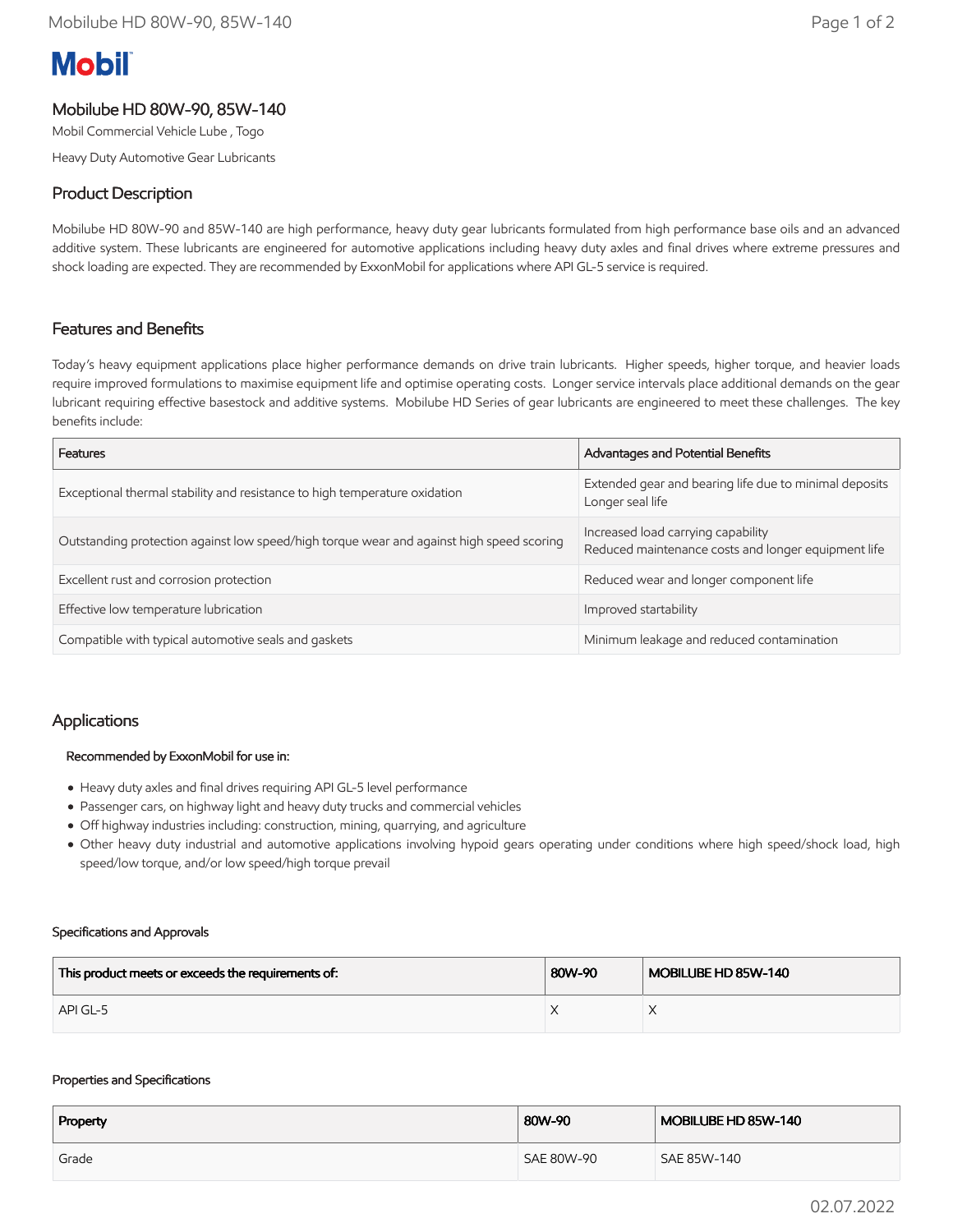# **Mobil**

# Mobilube HD 80W-90, 85W-140

Mobil Commercial Vehicle Lube , Togo

Heavy Duty Automotive Gear Lubricants

# Product Description

Mobilube HD 80W-90 and 85W-140 are high performance, heavy duty gear lubricants formulated from high performance base oils and an advanced additive system. These lubricants are engineered for automotive applications including heavy duty axles and final drives where extreme pressures and shock loading are expected. They are recommended by ExxonMobil for applications where API GL-5 service is required.

## Features and Benefits

Today's heavy equipment applications place higher performance demands on drive train lubricants. Higher speeds, higher torque, and heavier loads require improved formulations to maximise equipment life and optimise operating costs. Longer service intervals place additional demands on the gear lubricant requiring effective basestock and additive systems. Mobilube HD Series of gear lubricants are engineered to meet these challenges. The key benefits include:

| Features                                                                                 | Advantages and Potential Benefits                                                         |  |
|------------------------------------------------------------------------------------------|-------------------------------------------------------------------------------------------|--|
| Exceptional thermal stability and resistance to high temperature oxidation               | Extended gear and bearing life due to minimal deposits<br>Longer seal life                |  |
| Outstanding protection against low speed/high torque wear and against high speed scoring | Increased load carrying capability<br>Reduced maintenance costs and longer equipment life |  |
| Excellent rust and corrosion protection                                                  | Reduced wear and longer component life                                                    |  |
| Effective low temperature lubrication                                                    | Improved startability                                                                     |  |
| Compatible with typical automotive seals and gaskets                                     | Minimum leakage and reduced contamination                                                 |  |

## Applications

#### Recommended by ExxonMobil for use in:

- Heavy duty axles and final drives requiring API GL-5 level performance
- Passenger cars, on highway light and heavy duty trucks and commercial vehicles
- Off highway industries including: construction, mining, quarrying, and agriculture
- Other heavy duty industrial and automotive applications involving hypoid gears operating under conditions where high speed/shock load, high speed/low torque, and/or low speed/high torque prevail

#### Specifications and Approvals

| This product meets or exceeds the requirements of: | 80W-90 | MOBILUBE HD 85W-140 |
|----------------------------------------------------|--------|---------------------|
| API GL-5                                           |        |                     |

#### Properties and Specifications

| Property | 80W-90     | MOBILUBE HD 85W-140 |
|----------|------------|---------------------|
| Grade    | SAE 80W-90 | SAE 85W-140         |